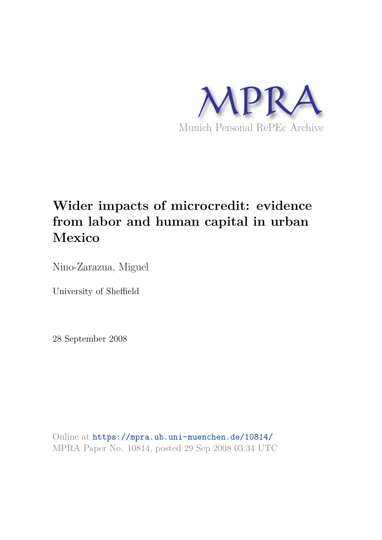

# **Wider impacts of microcredit: evidence from labor and human capital in urban Mexico**

Nino-Zarazua, Miguel

University of Sheffield

28 September 2008

Online at https://mpra.ub.uni-muenchen.de/10814/ MPRA Paper No. 10814, posted 29 Sep 2008 03:34 UTC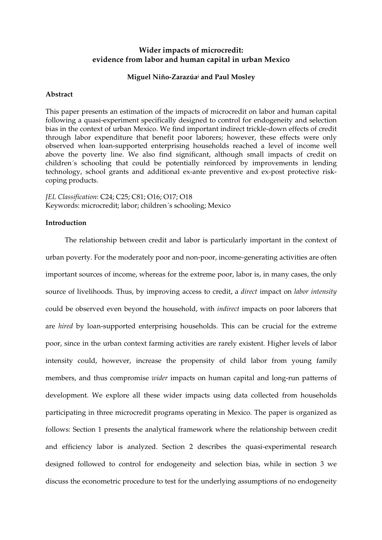# **Wider impacts of microcredit: evidence from labor and human capital in urban Mexico**

# **Miguel Niño-Zarazúa<sup>i</sup> and Paul Mosley**

## **Abstract**

This paper presents an estimation of the impacts of microcredit on labor and human capital following a quasi-experiment specifically designed to control for endogeneity and selection bias in the context of urban Mexico. We find important indirect trickle-down effects of credit through labor expenditure that benefit poor laborers; however, these effects were only observed when loan-supported enterprising households reached a level of income well above the poverty line. We also find significant, although small impacts of credit on children´s schooling that could be potentially reinforced by improvements in lending technology, school grants and additional ex-ante preventive and ex-post protective riskcoping products.

*JEL Classification*: C24; C25; C81; O16; O17; O18 Keywords: microcredit; labor; children´s schooling; Mexico

## **Introduction**

The relationship between credit and labor is particularly important in the context of urban poverty. For the moderately poor and non-poor, income-generating activities are often important sources of income, whereas for the extreme poor, labor is, in many cases, the only source of livelihoods. Thus, by improving access to credit, a *direct* impact on *labor intensity* could be observed even beyond the household, with *indirect* impacts on poor laborers that are *hired* by loan-supported enterprising households. This can be crucial for the extreme poor, since in the urban context farming activities are rarely existent*.* Higher levels of labor intensity could, however, increase the propensity of child labor from young family members, and thus compromise *wider* impacts on human capital and long-run patterns of development. We explore all these wider impacts using data collected from households participating in three microcredit programs operating in Mexico. The paper is organized as follows: Section 1 presents the analytical framework where the relationship between credit and efficiency labor is analyzed. Section 2 describes the quasi-experimental research designed followed to control for endogeneity and selection bias, while in section 3 we discuss the econometric procedure to test for the underlying assumptions of no endogeneity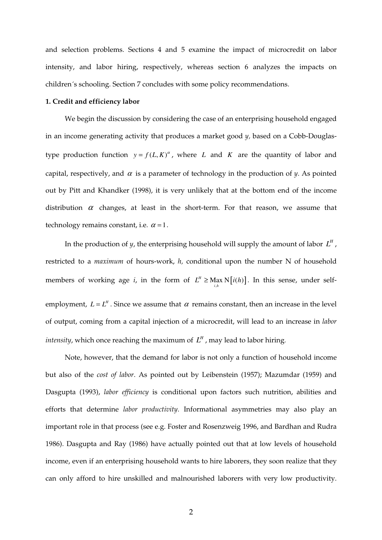and selection problems. Sections 4 and 5 examine the impact of microcredit on labor intensity, and labor hiring, respectively, whereas section 6 analyzes the impacts on children´s schooling. Section 7 concludes with some policy recommendations.

## **1. Credit and efficiency labor**

We begin the discussion by considering the case of an enterprising household engaged in an income generating activity that produces a market good *y,* based on a Cobb-Douglastype production function  $y = f(L,K)^{\alpha}$ , where *L* and *K* are the quantity of labor and capital, respectively, and  $\alpha$  is a parameter of technology in the production of  $\gamma$ . As pointed out by Pitt and Khandker (1998), it is very unlikely that at the bottom end of the income distribution  $\alpha$  changes, at least in the short-term. For that reason, we assume that technology remains constant, i.e.  $\alpha = 1$ .

In the production of *y*, the enterprising household will supply the amount of labor  $L^H$  , restricted to a *maximum* of hours-work, *h,* conditional upon the number N of household members of working age *i*, in the form of  $L^H \geq \text{Max } N[i(h)]$ . In this sense, under selfemployment,  $L = L^H$ . Since we assume that  $\alpha$  remains constant, then an increase in the level of output, coming from a capital injection of a microcredit, will lead to an increase in *labor intensity,* which once reaching the maximum of  $L^H$  , may lead to labor hiring.

Note, however, that the demand for labor is not only a function of household income but also of the *cost of labor*. As pointed out by Leibenstein (1957); Mazumdar (1959) and Dasgupta (1993), *labor efficiency* is conditional upon factors such nutrition, abilities and efforts that determine *labor productivity*. Informational asymmetries may also play an important role in that process (see e.g. Foster and Rosenzweig 1996, and Bardhan and Rudra 1986). Dasgupta and Ray (1986) have actually pointed out that at low levels of household income, even if an enterprising household wants to hire laborers, they soon realize that they can only afford to hire unskilled and malnourished laborers with very low productivity.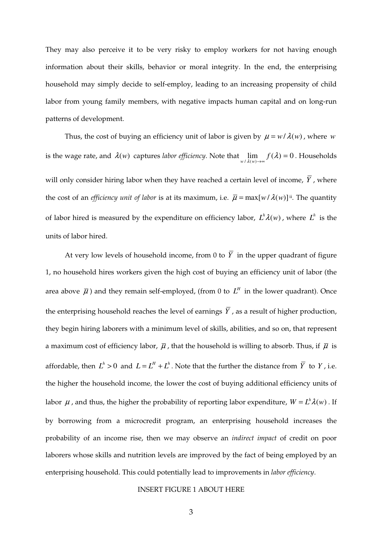They may also perceive it to be very risky to employ workers for not having enough information about their skills, behavior or moral integrity. In the end, the enterprising household may simply decide to self-employ, leading to an increasing propensity of child labor from young family members, with negative impacts human capital and on long-run patterns of development.

Thus, the cost of buying an efficiency unit of labor is given by  $\mu = w / \lambda(w)$ , where *w* is the wage rate, and  $\lambda(w)$  captures *labor efficiency*. Note that  $\lim_{w \neq \lambda(w) \to \infty} f(\lambda) = 0$  $\lim_{w \to \infty} f(\lambda) = 0$ . Households will only consider hiring labor when they have reached a certain level of income,  $\overline{Y}$ , where the cost of an *efficiency unit of labor* is at its maximum, i.e.  $\bar{\mu} = \max[w/\lambda(w)]^{ii}$ . The quantity of labor hired is measured by the expenditure on efficiency labor,  $L^h \lambda(w)$ , where  $L^h$  is the units of labor hired.

At very low levels of household income, from 0 to  $\overline{Y}$  in the upper quadrant of figure 1, no household hires workers given the high cost of buying an efficiency unit of labor (the area above  $\bar{\mu}$ ) and they remain self-employed, (from 0 to  $L^H$  in the lower quadrant). Once the enterprising household reaches the level of earnings  $\overline{Y}$ , as a result of higher production, they begin hiring laborers with a minimum level of skills, abilities, and so on, that represent a maximum cost of efficiency labor,  $\bar{\mu}$ , that the household is willing to absorb. Thus, if  $\bar{\mu}$  is affordable, then  $L^h > 0$  and  $L = L^H + L^h$ . Note that the further the distance from  $\overline{Y}$  to *Y*, i.e. the higher the household income*,* the lower the cost of buying additional efficiency units of labor  $\mu$ , and thus, the higher the probability of reporting labor expenditure,  $W = L^h \lambda(w)$ . If by borrowing from a microcredit program, an enterprising household increases the probability of an income rise, then we may observe an *indirect impact* of credit on poor laborers whose skills and nutrition levels are improved by the fact of being employed by an enterprising household. This could potentially lead to improvements in *labor efficiency*.

## INSERT FIGURE 1 ABOUT HERE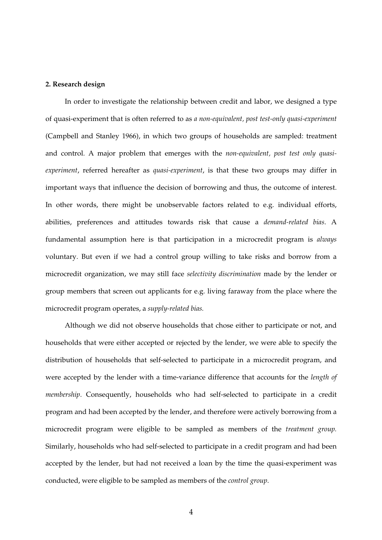#### **2. Research design**

In order to investigate the relationship between credit and labor, we designed a type of quasi-experiment that is often referred to as *a non-equivalent, post test-only quasi-experiment* (Campbell and Stanley 1966), in which two groups of households are sampled: treatment and control. A major problem that emerges with the *non-equivalent, post test only quasiexperiment*, referred hereafter as *quasi-experiment*, is that these two groups may differ in important ways that influence the decision of borrowing and thus, the outcome of interest. In other words, there might be unobservable factors related to e.g. individual efforts, abilities, preferences and attitudes towards risk that cause a *demand-related bias*. A fundamental assumption here is that participation in a microcredit program is *always* voluntary. But even if we had a control group willing to take risks and borrow from a microcredit organization, we may still face *selectivity discrimination* made by the lender or group members that screen out applicants for e.g. living faraway from the place where the microcredit program operates, a *supply-related bias.*

Although we did not observe households that chose either to participate or not, and households that were either accepted or rejected by the lender, we were able to specify the distribution of households that self-selected to participate in a microcredit program, and were accepted by the lender with a time-variance difference that accounts for the *length of membership*. Consequently, households who had self-selected to participate in a credit program and had been accepted by the lender, and therefore were actively borrowing from a microcredit program were eligible to be sampled as members of the *treatment group.* Similarly, households who had self-selected to participate in a credit program and had been accepted by the lender, but had not received a loan by the time the quasi-experiment was conducted, were eligible to be sampled as members of the *control group*.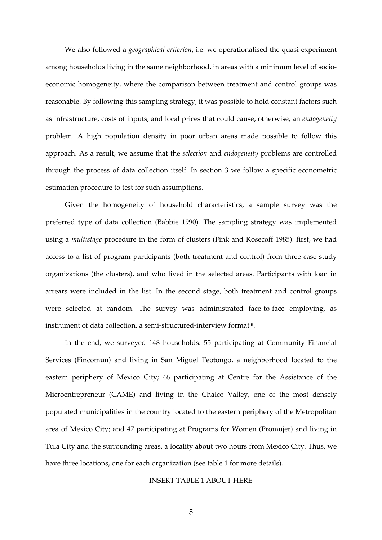We also followed a *geographical criterion*, i.e. we operationalised the quasi-experiment among households living in the same neighborhood, in areas with a minimum level of socioeconomic homogeneity, where the comparison between treatment and control groups was reasonable. By following this sampling strategy, it was possible to hold constant factors such as infrastructure, costs of inputs, and local prices that could cause, otherwise, an *endogeneity* problem. A high population density in poor urban areas made possible to follow this approach. As a result, we assume that the *selection* and *endogeneity* problems are controlled through the process of data collection itself. In section 3 we follow a specific econometric estimation procedure to test for such assumptions.

Given the homogeneity of household characteristics, a sample survey was the preferred type of data collection (Babbie 1990). The sampling strategy was implemented using a *multistage* procedure in the form of clusters (Fink and Kosecoff 1985): first, we had access to a list of program participants (both treatment and control) from three case-study organizations (the clusters), and who lived in the selected areas. Participants with loan in arrears were included in the list. In the second stage, both treatment and control groups were selected at random. The survey was administrated face-to-face employing, as instrument of data collection, a semi-structured-interview formatiii .

In the end, we surveyed 148 households: 55 participating at Community Financial Services (Fincomun) and living in San Miguel Teotongo, a neighborhood located to the eastern periphery of Mexico City; 46 participating at Centre for the Assistance of the Microentrepreneur (CAME) and living in the Chalco Valley, one of the most densely populated municipalities in the country located to the eastern periphery of the Metropolitan area of Mexico City; and 47 participating at Programs for Women (Promujer) and living in Tula City and the surrounding areas, a locality about two hours from Mexico City. Thus, we have three locations, one for each organization (see table 1 for more details).

## INSERT TABLE 1 ABOUT HERE

5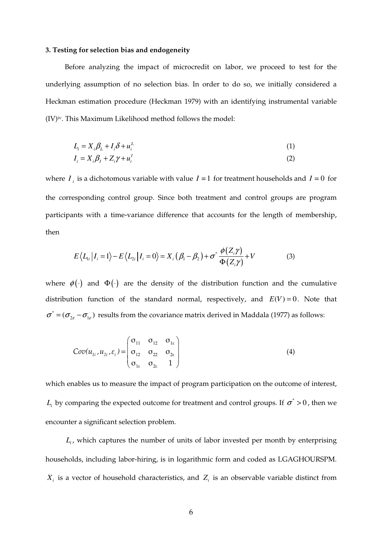## **3. Testing for selection bias and endogeneity**

Before analyzing the impact of microcredit on labor, we proceed to test for the underlying assumption of no selection bias. In order to do so, we initially considered a Heckman estimation procedure (Heckman 1979) with an identifying instrumental variable (IV)iv. This Maximum Likelihood method follows the model:

$$
L_i = X_i \beta_L + I_i \delta + u_i^L \tag{1}
$$

$$
I_i = X_i \beta_I + Z_i \gamma + u_i^I \tag{2}
$$

where  $I_i$  is a dichotomous variable with value  $I = 1$  for treatment households and  $I = 0$  for the corresponding control group. Since both treatment and control groups are program participants with a time-variance difference that accounts for the length of membership, then

$$
E\langle L_{1i}|I_i=1\rangle - E\langle L_{2i}|I_i=0\rangle = X_i(\beta_1 - \beta_2) + \sigma^* \frac{\phi(Z_i \gamma)}{\Phi(Z_i \gamma)} + V
$$
(3)

where  $\phi(\cdot)$  and  $\Phi(\cdot)$  are the density of the distribution function and the cumulative distribution function of the standard normal, respectively, and  $E(V) = 0$ . Note that  $\sigma^* = (\sigma_{2\varepsilon} - \sigma_{1\varepsilon})$  results from the covariance matrix derived in Maddala (1977) as follows:

$$
Cov(u_{1i}, u_{2i}, \varepsilon_i) = \begin{pmatrix} \sigma_{11} & \sigma_{12} & \sigma_{1\varepsilon} \\ \sigma_{12} & \sigma_{22} & \sigma_{2\varepsilon} \\ \sigma_{1\varepsilon} & \sigma_{2\varepsilon} & 1 \end{pmatrix}
$$
 (4)

which enables us to measure the impact of program participation on the outcome of interest,  $L$ <sup>*i*</sup> by comparing the expected outcome for treatment and control groups. If  $\sigma$ <sup>\*</sup> > 0, then we encounter a significant selection problem.

*Li* , which captures the number of units of labor invested per month by enterprising households, including labor-hiring, is in logarithmic form and coded as LGAGHOURSPM.  $X_i$  is a vector of household characteristics, and  $Z_i$  is an observable variable distinct from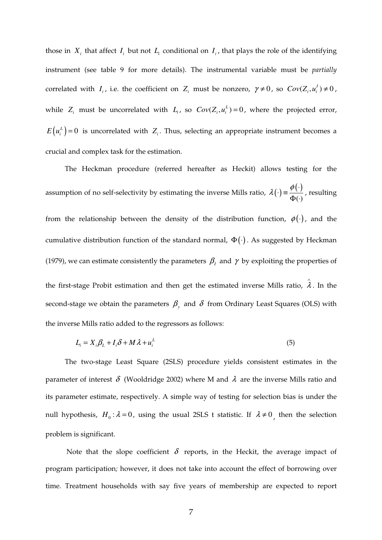those in  $X_i$  that affect  $I_i$  but not  $L_i$  conditional on  $I_i$ , that plays the role of the identifying instrument (see table 9 for more details). The instrumental variable must be *partially* correlated with  $I_i$ , i.e. the coefficient on  $Z_i$  must be nonzero,  $\gamma \neq 0$ , so  $Cov(Z_i, u_i^I) \neq 0$ , while  $Z_i$  must be uncorrelated with  $L_i$ , so  $Cov(Z_i, u_i^L) = 0$ , where the projected error,  $E(u_i^L) = 0$  is uncorrelated with  $Z_i$ . Thus, selecting an appropriate instrument becomes a crucial and complex task for the estimation.

The Heckman procedure (referred hereafter as Heckit) allows testing for the assumption of no self-selectivity by estimating the inverse Mills ratio,  $\lambda(\cdot) = \frac{\phi(\cdot)}{\Phi(\cdot)}$  $\lambda(\cdot) \equiv \frac{\phi(\cdot)}{\phi(\cdot)}$  $\cdot$ )  $\equiv$  $\Phi(\cdot$ , resulting from the relationship between the density of the distribution function,  $\phi(\cdot)$ , and the cumulative distribution function of the standard normal,  $\Phi(\cdot)$ . As suggested by Heckman (1979), we can estimate consistently the parameters  $\beta_{I}$  and  $\gamma$  by exploiting the properties of the first-stage Probit estimation and then get the estimated inverse Mills ratio,  $\hat{\lambda}$ . In the second-stage we obtain the parameters  $\beta_{y}$  and  $\delta$  from Ordinary Least Squares (OLS) with the inverse Mills ratio added to the regressors as follows:

$$
L_i = X_i \beta_L + I_i \delta + M \lambda + u_i^L \tag{5}
$$

The two-stage Least Square (2SLS) procedure yields consistent estimates in the parameter of interest  $\delta$  (Wooldridge 2002) where M and  $\lambda$  are the inverse Mills ratio and its parameter estimate, respectively. A simple way of testing for selection bias is under the null hypothesis,  $H_0: \lambda = 0$ , using the usual 2SLS t statistic. If  $\lambda \neq 0$ , then the selection problem is significant.

Note that the slope coefficient  $\delta$  reports, in the Heckit, the average impact of program participation*;* however, it does not take into account the effect of borrowing over time. Treatment households with say five years of membership are expected to report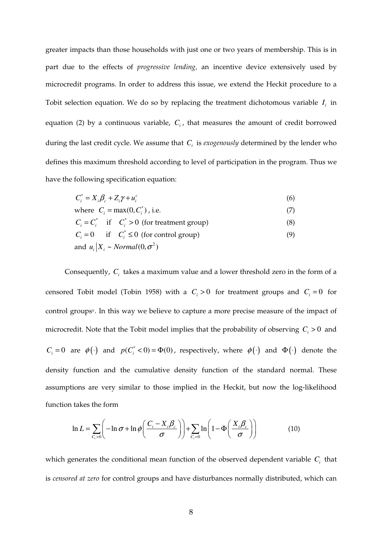greater impacts than those households with just one or two years of membership. This is in part due to the effects of *progressive lending,* an incentive device extensively used by microcredit programs. In order to address this issue, we extend the Heckit procedure to a Tobit selection equation. We do so by replacing the treatment dichotomous variable  $I_i$  in equation (2) by a continuous variable, *C<sup>i</sup>* , that measures the amount of credit borrowed during the last credit cycle. We assume that *C<sup>i</sup>* is *exogenously* determined by the lender who defines this maximum threshold according to level of participation in the program. Thus we have the following specification equation:

$$
C_i^* = X_i \beta_c + Z_i \gamma + u_i^c \tag{6}
$$

where  $C_i = \max(0, C_i^*)$ , i.e. (7)  $C_i = C_i^*$  if  $C_i^* > 0$  (for treatment group) (8)  $C_i = 0$  if  $C_i^* \le 0$  (for control group) (9)

and 
$$
u_i | X_i \sim Normal(0, \sigma^2)
$$

Consequently,  $C<sub>i</sub>$  takes a maximum value and a lower threshold zero in the form of a censored Tobit model (Tobin 1958) with a  $C_i > 0$  for treatment groups and  $C_i = 0$  for control groupsv. In this way we believe to capture a more precise measure of the impact of microcredit. Note that the Tobit model implies that the probability of observing  $C_i > 0$  and  $C_i = 0$  are  $\phi(\cdot)$  and  $p(C_i^* < 0) = \Phi(0)$ , respectively, where  $\phi(\cdot)$  and  $\Phi(\cdot)$  denote the density function and the cumulative density function of the standard normal. These assumptions are very similar to those implied in the Heckit, but now the log-likelihood function takes the form

$$
\ln L = \sum_{C_i > 0} \left( -\ln \sigma + \ln \phi \left( \frac{C_i - X_i \beta_c}{\sigma} \right) \right) + \sum_{C_i = 0} \ln \left( 1 - \Phi \left( \frac{X_i \beta_c}{\sigma} \right) \right) \tag{10}
$$

which generates the conditional mean function of the observed dependent variable  $C<sub>i</sub>$  that is *censored at zero* for control groups and have disturbances normally distributed, which can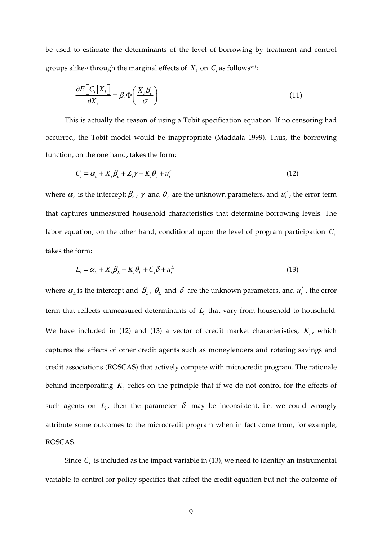be used to estimate the determinants of the level of borrowing by treatment and control groups alike<sup>vi</sup> through the marginal effects of  $X_i$  on  $C_i$  as follows<sup>vii</sup>:

$$
\frac{\partial E\big[C_i \big| X_i\big]}{\partial X_i} = \beta_c \Phi\bigg(\frac{X_i \beta_c}{\sigma}\bigg) \tag{11}
$$

This is actually the reason of using a Tobit specification equation. If no censoring had occurred, the Tobit model would be inappropriate (Maddala 1999). Thus, the borrowing function, on the one hand, takes the form:

$$
C_i = \alpha_c + X_i \beta_c + Z_i \gamma + K_i \theta_c + u_i^c \tag{12}
$$

where  $\alpha_c$  is the intercept;  $\beta_c$ ,  $\gamma$  and  $\theta_c$  are the unknown parameters, and  $u_i^c$ , the error term that captures unmeasured household characteristics that determine borrowing levels. The labor equation, on the other hand, conditional upon the level of program participation *C<sup>i</sup>* takes the form:

$$
L_i = \alpha_L + X_i \beta_L + K_i \theta_L + C_i \delta + u_i^L
$$
\n(13)

where  $\alpha_L$  is the intercept and  $\beta_L$ ,  $\theta_L$  and  $\delta$  are the unknown parameters, and  $u_i^L$ , the error term that reflects unmeasured determinants of  $L<sub>i</sub>$  that vary from household to household. We have included in  $(12)$  and  $(13)$  a vector of credit market characteristics,  $K_i$ , which captures the effects of other credit agents such as moneylenders and rotating savings and credit associations (ROSCAS) that actively compete with microcredit program. The rationale behind incorporating  $K<sub>i</sub>$  relies on the principle that if we do not control for the effects of such agents on  $L_i$ , then the parameter  $\delta$  may be inconsistent, i.e. we could wrongly attribute some outcomes to the microcredit program when in fact come from, for example, ROSCAS.

Since  $C_i$  is included as the impact variable in  $(13)$ , we need to identify an instrumental variable to control for policy-specifics that affect the credit equation but not the outcome of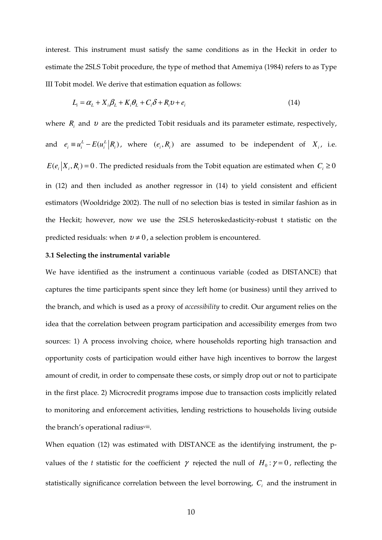interest. This instrument must satisfy the same conditions as in the Heckit in order to estimate the 2SLS Tobit procedure, the type of method that Amemiya (1984) refers to as Type III Tobit model. We derive that estimation equation as follows:

$$
L_i = \alpha_L + X_i \beta_L + K_i \theta_L + C_i \delta + R_i v + e_i
$$
\n(14)

where  $R_i$  and  $v$  are the predicted Tobit residuals and its parameter estimate, respectively, and  $e_i \equiv u_i^L - E(u_i^L | R_i)$ , where  $(e_i, R_i)$  are assumed to be independent of  $X_i$ , i.e.  $E(e_i|X_i, R_i) = 0$ . The predicted residuals from the Tobit equation are estimated when  $C_i \ge 0$ in (12) and then included as another regressor in (14) to yield consistent and efficient estimators (Wooldridge 2002). The null of no selection bias is tested in similar fashion as in the Heckit; however, now we use the 2SLS heteroskedasticity-robust t statistic on the predicted residuals: when  $v \neq 0$ , a selection problem is encountered.

#### **3.1 Selecting the instrumental variable**

We have identified as the instrument a continuous variable (coded as DISTANCE) that captures the time participants spent since they left home (or business) until they arrived to the branch, and which is used as a proxy of *accessibility* to credit. Our argument relies on the idea that the correlation between program participation and accessibility emerges from two sources: 1) A process involving choice, where households reporting high transaction and opportunity costs of participation would either have high incentives to borrow the largest amount of credit, in order to compensate these costs, or simply drop out or not to participate in the first place. 2) Microcredit programs impose due to transaction costs implicitly related to monitoring and enforcement activities, lending restrictions to households living outside the branch's operational radiusviii .

When equation (12) was estimated with DISTANCE as the identifying instrument, the pvalues of the *t* statistic for the coefficient  $\gamma$  rejected the null of  $H_0: \gamma = 0$ , reflecting the statistically significance correlation between the level borrowing, *C<sup>i</sup>* and the instrument in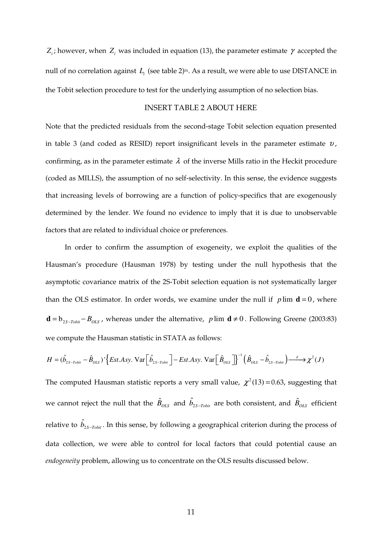$Z_i$ ; however, when  $Z_i$  was included in equation (13), the parameter estimate  $\gamma$  accepted the null of no correlation against  $L_i$  (see table 2)<sup>ix</sup>. As a result, we were able to use DISTANCE in the Tobit selection procedure to test for the underlying assumption of no selection bias.

## INSERT TABLE 2 ABOUT HERE

Note that the predicted residuals from the second-stage Tobit selection equation presented in table 3 (and coded as RESID) report insignificant levels in the parameter estimate  $v$ , confirming, as in the parameter estimate  $\lambda$  of the inverse Mills ratio in the Heckit procedure (coded as MILLS), the assumption of no self-selectivity. In this sense, the evidence suggests that increasing levels of borrowing are a function of policy-specifics that are exogenously determined by the lender. We found no evidence to imply that it is due to unobservable factors that are related to individual choice or preferences.

In order to confirm the assumption of exogeneity, we exploit the qualities of the Hausman's procedure (Hausman 1978) by testing under the null hypothesis that the asymptotic covariance matrix of the 2S-Tobit selection equation is not systematically larger than the OLS estimator. In order words, we examine under the null if  $p \lim d = 0$ , where **d** =  $b_{2S-7obit} - B_{OLS}$ , whereas under the alternative, *p* lim **d** ≠ 0. Following Greene (2003:83) we compute the Hausman statistic in STATA as follows:

$$
H = (\hat{b}_{2S-Tobit} - \hat{B}_{OLS})^{\dagger} \left\{ Est. Asy. \text{Var}\left[\hat{b}_{2S-Tobit}\right] - Est. Asy. \text{Var}\left[\hat{B}_{OLS}\right]\right\}^{-1} \left(\hat{B}_{OLS} - \hat{b}_{2S-Tobit}\right) \xrightarrow{d} \chi^{2}(J)
$$

The computed Hausman statistic reports a very small value,  $\chi^2(13)$  = 0.63, suggesting that we cannot reject the null that the  $\hat{B}_{OLS}$  and  $\hat{b}_{2S-Tobit}$  are both consistent, and  $\hat{B}_{OLS}$  efficient relative to  $\hat{b}_{2S-{\it Tobit}}.$  In this sense, by following a geographical criterion during the process of data collection, we were able to control for local factors that could potential cause an *endogeneity* problem, allowing us to concentrate on the OLS results discussed below.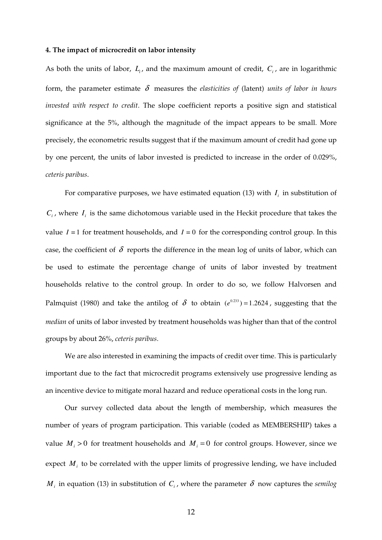#### **4. The impact of microcredit on labor intensity**

As both the units of labor,  $L_i$ , and the maximum amount of credit,  $C_i$ , are in logarithmic form, the parameter estimate  $\delta$  measures the *elasticities of* (latent) *units of labor in hours invested with respect to credit*. The slope coefficient reports a positive sign and statistical significance at the 5%, although the magnitude of the impact appears to be small. More precisely, the econometric results suggest that if the maximum amount of credit had gone up by one percent, the units of labor invested is predicted to increase in the order of 0.029%, *ceteris paribus*.

For comparative purposes, we have estimated equation (13) with  $I_i$  in substitution of  $C_i$ , where  $I_i$  is the same dichotomous variable used in the Heckit procedure that takes the value  $I = 1$  for treatment households, and  $I = 0$  for the corresponding control group. In this case, the coefficient of  $\delta$  reports the difference in the mean log of units of labor, which can be used to estimate the percentage change of units of labor invested by treatment households relative to the control group. In order to do so, we follow Halvorsen and Palmquist (1980) and take the antilog of  $\delta$  to obtain  $(e^{0.233}) = 1.2624$ , suggesting that the *median* of units of labor invested by treatment households was higher than that of the control groups by about 26%, *ceteris paribus*.

We are also interested in examining the impacts of credit over time. This is particularly important due to the fact that microcredit programs extensively use progressive lending as an incentive device to mitigate moral hazard and reduce operational costs in the long run.

Our survey collected data about the length of membership, which measures the number of years of program participation. This variable (coded as MEMBERSHIP) takes a value  $M_i > 0$  for treatment households and  $M_i = 0$  for control groups. However, since we expect  $M_i$  to be correlated with the upper limits of progressive lending, we have included  $M$ <sub>*i*</sub> in equation (13) in substitution of  $C$ <sub>*i*</sub>, where the parameter  $\delta$  now captures the *semilog*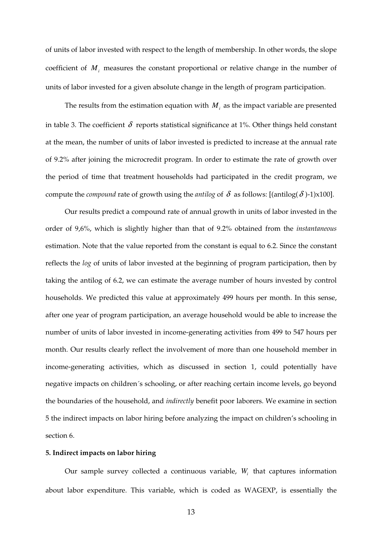of units of labor invested with respect to the length of membership. In other words, the slope coefficient of  $M_i$  measures the constant proportional or relative change in the number of units of labor invested for a given absolute change in the length of program participation.

The results from the estimation equation with  $M_i$  as the impact variable are presented in table 3. The coefficient  $\delta$  reports statistical significance at 1%. Other things held constant at the mean, the number of units of labor invested is predicted to increase at the annual rate of 9.2% after joining the microcredit program. In order to estimate the rate of growth over the period of time that treatment households had participated in the credit program, we compute the *compound* rate of growth using the *antilog* of  $\delta$  as follows: [(antilog( $\delta$ )-1)x100].

Our results predict a compound rate of annual growth in units of labor invested in the order of 9,6%, which is slightly higher than that of 9.2% obtained from the *instantaneous* estimation. Note that the value reported from the constant is equal to 6.2. Since the constant reflects the *log* of units of labor invested at the beginning of program participation, then by taking the antilog of 6.2, we can estimate the average number of hours invested by control households. We predicted this value at approximately 499 hours per month. In this sense, after one year of program participation, an average household would be able to increase the number of units of labor invested in income-generating activities from 499 to 547 hours per month. Our results clearly reflect the involvement of more than one household member in income-generating activities, which as discussed in section 1, could potentially have negative impacts on children´s schooling, or after reaching certain income levels, go beyond the boundaries of the household, and *indirectly* benefit poor laborers. We examine in section 5 the indirect impacts on labor hiring before analyzing the impact on children's schooling in section 6.

## **5. Indirect impacts on labor hiring**

Our sample survey collected a continuous variable, *W<sup>i</sup>* that captures information about labor expenditure. This variable, which is coded as WAGEXP, is essentially the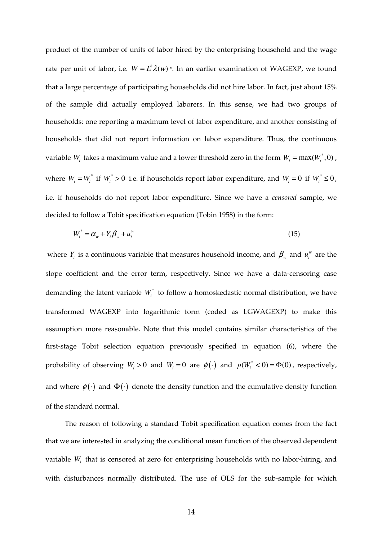product of the number of units of labor hired by the enterprising household and the wage rate per unit of labor, i.e.  $W = L^h \lambda(w)$ <sup>x</sup>. In an earlier examination of WAGEXP, we found that a large percentage of participating households did not hire labor. In fact, just about 15% of the sample did actually employed laborers. In this sense, we had two groups of households: one reporting a maximum level of labor expenditure, and another consisting of households that did not report information on labor expenditure. Thus, the continuous variable  $W_i$  takes a maximum value and a lower threshold zero in the form  $W_i = \max(W_i^*, 0)$  , where  $W_i = W_i^*$  if  $W_i^* > 0$  i.e. if households report labor expenditure, and  $W_i = 0$  if  $W_i^* \le 0$ , i.e. if households do not report labor expenditure. Since we have a *censored* sample, we decided to follow a Tobit specification equation (Tobin 1958) in the form:

$$
W_i^* = \alpha_w + Y_i \beta_w + u_i^w \tag{15}
$$

where *Y<sub>i</sub>* is a continuous variable that measures household income, and  $\beta_w$  and  $u_i^w$  are the slope coefficient and the error term, respectively. Since we have a data-censoring case demanding the latent variable  $W_i^*$  to follow a homoskedastic normal distribution, we have transformed WAGEXP into logarithmic form (coded as LGWAGEXP) to make this assumption more reasonable. Note that this model contains similar characteristics of the first-stage Tobit selection equation previously specified in equation (6), where the probability of observing  $W_i > 0$  and  $W_i = 0$  are  $\phi(\cdot)$  and  $p(W_i^* < 0) = \Phi(0)$ , respectively, and where  $\phi(\cdot)$  and  $\Phi(\cdot)$  denote the density function and the cumulative density function of the standard normal.

The reason of following a standard Tobit specification equation comes from the fact that we are interested in analyzing the conditional mean function of the observed dependent variable *W<sup>i</sup>* that is censored at zero for enterprising households with no labor-hiring, and with disturbances normally distributed. The use of OLS for the sub-sample for which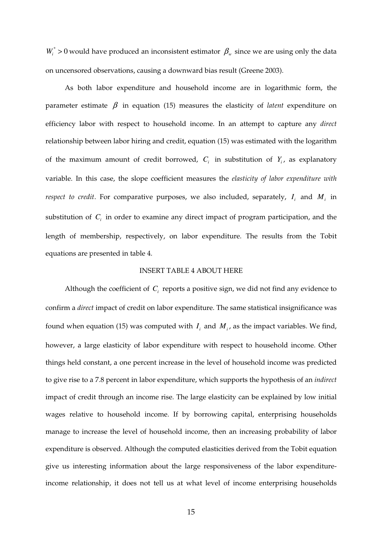$W_i^* > 0$  would have produced an inconsistent estimator  $\beta_w$  since we are using only the data on uncensored observations, causing a downward bias result (Greene 2003).

As both labor expenditure and household income are in logarithmic form, the parameter estimate  $\beta$  in equation (15) measures the elasticity of *latent* expenditure on efficiency labor with respect to household income. In an attempt to capture any *direct* relationship between labor hiring and credit, equation (15) was estimated with the logarithm of the maximum amount of credit borrowed,  $C_i$  in substitution of  $Y_i$ , as explanatory variable. In this case, the slope coefficient measures the *elasticity of labor expenditure with respect to credit*. For comparative purposes, we also included, separately,  $I_i$  and  $M_i$  in substitution of  $C<sub>i</sub>$  in order to examine any direct impact of program participation, and the length of membership, respectively, on labor expenditure. The results from the Tobit equations are presented in table 4.

## INSERT TABLE 4 ABOUT HERE

Although the coefficient of  $C<sub>i</sub>$  reports a positive sign, we did not find any evidence to confirm a *direct* impact of credit on labor expenditure. The same statistical insignificance was found when equation (15) was computed with  $I_i$  and  $M_i$ , as the impact variables. We find, however, a large elasticity of labor expenditure with respect to household income. Other things held constant, a one percent increase in the level of household income was predicted to give rise to a 7.8 percent in labor expenditure, which supports the hypothesis of an *indirect* impact of credit through an income rise. The large elasticity can be explained by low initial wages relative to household income. If by borrowing capital, enterprising households manage to increase the level of household income, then an increasing probability of labor expenditure is observed. Although the computed elasticities derived from the Tobit equation give us interesting information about the large responsiveness of the labor expenditureincome relationship, it does not tell us at what level of income enterprising households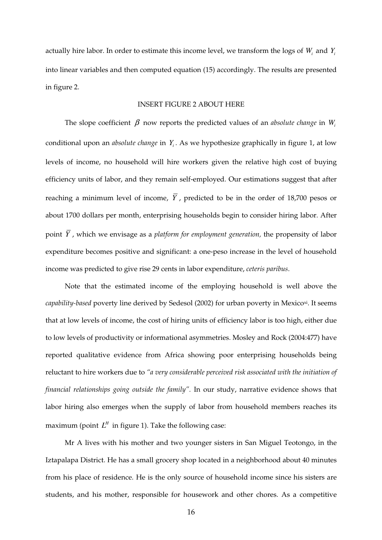actually hire labor. In order to estimate this income level, we transform the logs of  $W_i$  and  $Y_i$ into linear variables and then computed equation (15) accordingly. The results are presented in figure 2.

## INSERT FIGURE 2 ABOUT HERE

The slope coefficient  $\beta$  now reports the predicted values of an *absolute change* in  $W_i$ conditional upon an *absolute change* in *Y<sup>i</sup>* . As we hypothesize graphically in figure 1, at low levels of income, no household will hire workers given the relative high cost of buying efficiency units of labor, and they remain self-employed. Our estimations suggest that after reaching a minimum level of income,  $\overline{Y}$ , predicted to be in the order of 18,700 pesos or about 1700 dollars per month, enterprising households begin to consider hiring labor. After point *Y* , which we envisage as a *platform for employment generation,* the propensity of labor expenditure becomes positive and significant: a one-peso increase in the level of household income was predicted to give rise 29 cents in labor expenditure, *ceteris paribus*.

Note that the estimated income of the employing household is well above the *capability-based* poverty line derived by Sedesol (2002) for urban poverty in Mexicoxi. It seems that at low levels of income, the cost of hiring units of efficiency labor is too high, either due to low levels of productivity or informational asymmetries. Mosley and Rock (2004:477) have reported qualitative evidence from Africa showing poor enterprising households being reluctant to hire workers due to *"a very considerable perceived risk associated with the initiation of financial relationships going outside the family".* In our study, narrative evidence shows that labor hiring also emerges when the supply of labor from household members reaches its maximum (point  $L^H$  in figure 1). Take the following case:

Mr A lives with his mother and two younger sisters in San Miguel Teotongo, in the Iztapalapa District. He has a small grocery shop located in a neighborhood about 40 minutes from his place of residence. He is the only source of household income since his sisters are students, and his mother, responsible for housework and other chores. As a competitive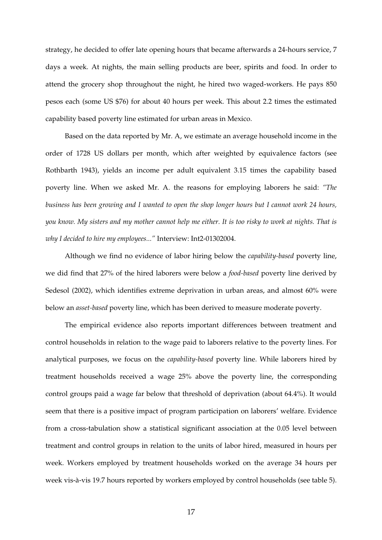strategy, he decided to offer late opening hours that became afterwards a 24-hours service, 7 days a week. At nights, the main selling products are beer, spirits and food. In order to attend the grocery shop throughout the night, he hired two waged-workers. He pays 850 pesos each (some US \$76) for about 40 hours per week. This about 2.2 times the estimated capability based poverty line estimated for urban areas in Mexico.

Based on the data reported by Mr. A, we estimate an average household income in the order of 1728 US dollars per month, which after weighted by equivalence factors (see Rothbarth 1943), yields an income per adult equivalent 3.15 times the capability based poverty line. When we asked Mr. A. the reasons for employing laborers he said: *"The business has been growing and I wanted to open the shop longer hours but I cannot work 24 hours, you know. My sisters and my mother cannot help me either. It is too risky to work at nights. That is why I decided to hire my employees..."* Interview: Int2-01302004.

Although we find no evidence of labor hiring below the *capability-based* poverty line, we did find that 27% of the hired laborers were below a *food-based* poverty line derived by Sedesol (2002), which identifies extreme deprivation in urban areas, and almost 60% were below an *asset-based* poverty line, which has been derived to measure moderate poverty.

The empirical evidence also reports important differences between treatment and control households in relation to the wage paid to laborers relative to the poverty lines. For analytical purposes, we focus on the *capability-based* poverty line. While laborers hired by treatment households received a wage 25% above the poverty line, the corresponding control groups paid a wage far below that threshold of deprivation (about 64.4%). It would seem that there is a positive impact of program participation on laborers' welfare. Evidence from a cross-tabulation show a statistical significant association at the 0.05 level between treatment and control groups in relation to the units of labor hired, measured in hours per week. Workers employed by treatment households worked on the average 34 hours per week vis-à-vis 19.7 hours reported by workers employed by control households (see table 5).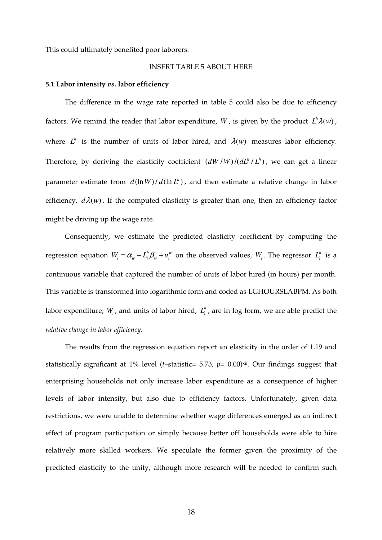This could ultimately benefited poor laborers.

# INSERT TABLE 5 ABOUT HERE

## **5.1 Labor intensity** *vs***. labor efficiency**

The difference in the wage rate reported in table 5 could also be due to efficiency factors. We remind the reader that labor expenditure, W, is given by the product  $L^h \lambda(w)$ , where  $L^h$  is the number of units of labor hired, and  $\lambda(w)$  measures labor efficiency. Therefore, by deriving the elasticity coefficient  $(dW/W)/(dL^{h}/L^{h})$ , we can get a linear parameter estimate from  $d(\ln W) / d(\ln L^h)$ , and then estimate a relative change in labor efficiency,  $d\lambda(w)$ . If the computed elasticity is greater than one, then an efficiency factor might be driving up the wage rate.

Consequently, we estimate the predicted elasticity coefficient by computing the regression equation  $W_i = \alpha_w + L_i^h \beta_w + u_i^w$  on the observed values,  $W_i$ . The regressor  $L_i^h$  is a continuous variable that captured the number of units of labor hired (in hours) per month. This variable is transformed into logarithmic form and coded as LGHOURSLABPM. As both labor expenditure,  $W_i$ , and units of labor hired,  $L_i^h$ , are in log form, we are able predict the *relative change in labor efficiency*.

The results from the regression equation report an elasticity in the order of 1.19 and statistically significant at 1% level (*t*–statistic= 5.73, *p*= 0.00)<sup>xii</sup>. Our findings suggest that enterprising households not only increase labor expenditure as a consequence of higher levels of labor intensity, but also due to efficiency factors. Unfortunately, given data restrictions, we were unable to determine whether wage differences emerged as an indirect effect of program participation or simply because better off households were able to hire relatively more skilled workers. We speculate the former given the proximity of the predicted elasticity to the unity, although more research will be needed to confirm such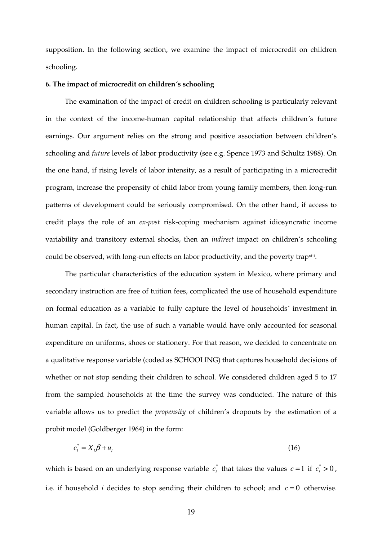supposition. In the following section, we examine the impact of microcredit on children schooling.

#### **6. The impact of microcredit on children´s schooling**

The examination of the impact of credit on children schooling is particularly relevant in the context of the income-human capital relationship that affects children´s future earnings. Our argument relies on the strong and positive association between children's schooling and *future* levels of labor productivity (see e.g. Spence 1973 and Schultz 1988). On the one hand, if rising levels of labor intensity, as a result of participating in a microcredit program, increase the propensity of child labor from young family members, then long-run patterns of development could be seriously compromised. On the other hand, if access to credit plays the role of an *ex-post* risk-coping mechanism against idiosyncratic income variability and transitory external shocks, then an *indirect* impact on children's schooling could be observed, with long-run effects on labor productivity, and the poverty trap<sup>xiii</sup>.

The particular characteristics of the education system in Mexico, where primary and secondary instruction are free of tuition fees, complicated the use of household expenditure on formal education as a variable to fully capture the level of households´ investment in human capital. In fact, the use of such a variable would have only accounted for seasonal expenditure on uniforms, shoes or stationery. For that reason, we decided to concentrate on a qualitative response variable (coded as SCHOOLING) that captures household decisions of whether or not stop sending their children to school. We considered children aged 5 to 17 from the sampled households at the time the survey was conducted. The nature of this variable allows us to predict the *propensity* of children's dropouts by the estimation of a probit model (Goldberger 1964) in the form:

$$
c_i^* = X_i \beta + u_i \tag{16}
$$

which is based on an underlying response variable  $c_i^*$  that takes the values  $c = 1$  if  $c_i^* > 0$ , i.e. if household *i* decides to stop sending their children to school; and  $c = 0$  otherwise.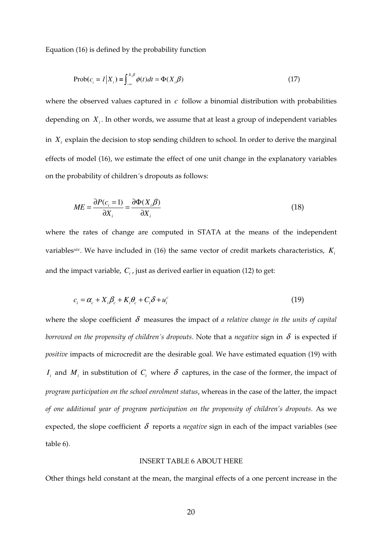Equation (16) is defined by the probability function

$$
\text{Prob}(c_i = 1 | X_i) = \int_{-\infty}^{X_i \beta} \phi(t) dt = \Phi(X_i \beta)
$$
\n(17)

where the observed values captured in *c* follow a binomial distribution with probabilities depending on *X<sup>i</sup>* . In other words, we assume that at least a group of independent variables in *X<sup>i</sup>* explain the decision to stop sending children to school. In order to derive the marginal effects of model (16), we estimate the effect of one unit change in the explanatory variables on the probability of children´s dropouts as follows:

$$
ME = \frac{\partial P(c_i = 1)}{\partial X_i} = \frac{\partial \Phi(X_i \beta)}{\partial X_i}
$$
(18)

where the rates of change are computed in STATA at the means of the independent variables<sup>xiv</sup>. We have included in (16) the same vector of credit markets characteristics,  $K_i$ and the impact variable, *C<sup>i</sup>* , just as derived earlier in equation (12) to get:

$$
c_i = \alpha_c + X_i \beta_c + K_i \theta_c + C_i \delta + u_i^c \tag{19}
$$

where the slope coefficient  $\delta$  measures the impact of *a relative change in the units of capital borrowed on the propensity of children's dropouts.* Note that a *negative* sign in  $\delta$  is expected if *positive* impacts of microcredit are the desirable goal. We have estimated equation (19) with *I*<sub>*i*</sub> and *M*<sub>*i*</sub> in substitution of *C*<sub>*i*</sub> where  $\delta$  captures, in the case of the former, the impact of *program participation on the school enrolment status*, whereas in the case of the latter, the impact *of one additional year of program participation on the propensity of children's dropouts*. As we expected, the slope coefficient  $\delta$  reports a *negative* sign in each of the impact variables (see table 6).

## INSERT TABLE 6 ABOUT HERE

Other things held constant at the mean, the marginal effects of a one percent increase in the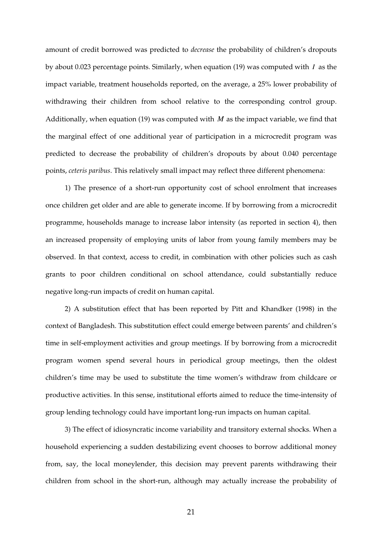amount of credit borrowed was predicted to *decrease* the probability of children's dropouts by about 0.023 percentage points. Similarly, when equation (19) was computed with *I* as the impact variable, treatment households reported, on the average, a 25% lower probability of withdrawing their children from school relative to the corresponding control group. Additionally, when equation (19) was computed with *M* as the impact variable, we find that the marginal effect of one additional year of participation in a microcredit program was predicted to decrease the probability of children's dropouts by about 0.040 percentage points, *ceteris paribus*. This relatively small impact may reflect three different phenomena:

1) The presence of a short-run opportunity cost of school enrolment that increases once children get older and are able to generate income. If by borrowing from a microcredit programme, households manage to increase labor intensity (as reported in section 4), then an increased propensity of employing units of labor from young family members may be observed. In that context, access to credit, in combination with other policies such as cash grants to poor children conditional on school attendance, could substantially reduce negative long-run impacts of credit on human capital.

2) A substitution effect that has been reported by Pitt and Khandker (1998) in the context of Bangladesh. This substitution effect could emerge between parents' and children's time in self-employment activities and group meetings. If by borrowing from a microcredit program women spend several hours in periodical group meetings, then the oldest children's time may be used to substitute the time women's withdraw from childcare or productive activities. In this sense, institutional efforts aimed to reduce the time-intensity of group lending technology could have important long-run impacts on human capital.

3) The effect of idiosyncratic income variability and transitory external shocks. When a household experiencing a sudden destabilizing event chooses to borrow additional money from, say, the local moneylender, this decision may prevent parents withdrawing their children from school in the short-run, although may actually increase the probability of

21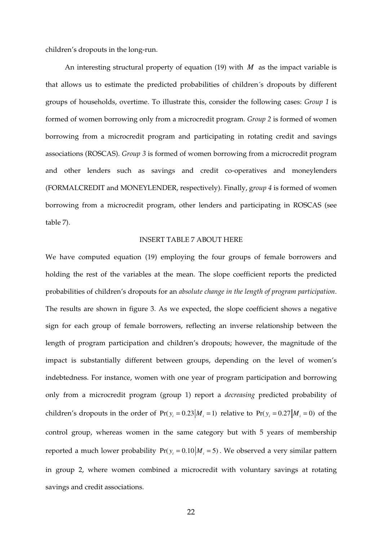children's dropouts in the long-run.

An interesting structural property of equation (19) with *M* as the impact variable is that allows us to estimate the predicted probabilities of children´s dropouts by different groups of households, overtime. To illustrate this, consider the following cases: *Group 1* is formed of women borrowing only from a microcredit program. *Group 2* is formed of women borrowing from a microcredit program and participating in rotating credit and savings associations (ROSCAS). *Group 3* is formed of women borrowing from a microcredit program and other lenders such as savings and credit co-operatives and moneylenders (FORMALCREDIT and MONEYLENDER, respectively). Finally, g*roup 4* is formed of women borrowing from a microcredit program, other lenders and participating in ROSCAS (see table 7).

## INSERT TABLE 7 ABOUT HERE

We have computed equation (19) employing the four groups of female borrowers and holding the rest of the variables at the mean. The slope coefficient reports the predicted probabilities of children's dropouts for an *absolute change in the length of program participation*. The results are shown in figure 3. As we expected, the slope coefficient shows a negative sign for each group of female borrowers, reflecting an inverse relationship between the length of program participation and children's dropouts; however, the magnitude of the impact is substantially different between groups, depending on the level of women's indebtedness. For instance, women with one year of program participation and borrowing only from a microcredit program (group 1) report a *decreasing* predicted probability of children's dropouts in the order of  $Pr(y_i = 0.23 | M_i = 1)$  relative to  $Pr(y_i = 0.27 | M_i = 0)$  of the control group, whereas women in the same category but with 5 years of membership reported a much lower probability  $Pr(y_i = 0.10 | M_i = 5)$ . We observed a very similar pattern in group 2, where women combined a microcredit with voluntary savings at rotating savings and credit associations.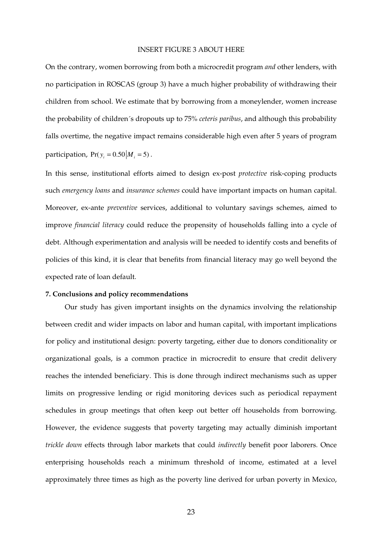## INSERT FIGURE 3 ABOUT HERE

On the contrary, women borrowing from both a microcredit program *and* other lenders, with no participation in ROSCAS (group 3) have a much higher probability of withdrawing their children from school. We estimate that by borrowing from a moneylender, women increase the probability of children´s dropouts up to 75% *ceteris paribus*, and although this probability falls overtime, the negative impact remains considerable high even after 5 years of program participation,  $Pr(y_i = 0.50 | M_i = 5)$ .

In this sense, institutional efforts aimed to design ex-post *protective* risk-coping products such *emergency loans* and *insurance schemes* could have important impacts on human capital. Moreover, ex-ante *preventive* services, additional to voluntary savings schemes, aimed to improve *financial literacy* could reduce the propensity of households falling into a cycle of debt. Although experimentation and analysis will be needed to identify costs and benefits of policies of this kind, it is clear that benefits from financial literacy may go well beyond the expected rate of loan default.

## **7. Conclusions and policy recommendations**

Our study has given important insights on the dynamics involving the relationship between credit and wider impacts on labor and human capital, with important implications for policy and institutional design: poverty targeting, either due to donors conditionality or organizational goals, is a common practice in microcredit to ensure that credit delivery reaches the intended beneficiary. This is done through indirect mechanisms such as upper limits on progressive lending or rigid monitoring devices such as periodical repayment schedules in group meetings that often keep out better off households from borrowing. However, the evidence suggests that poverty targeting may actually diminish important *trickle down* effects through labor markets that could *indirectly* benefit poor laborers. Once enterprising households reach a minimum threshold of income, estimated at a level approximately three times as high as the poverty line derived for urban poverty in Mexico,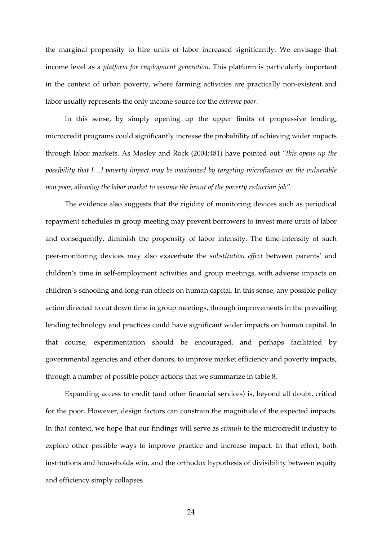the marginal propensity to hire units of labor increased significantly. We envisage that income level as a *platform for employment generation*. This platform is particularly important in the context of urban poverty, where farming activities are practically non-existent and labor usually represents the only income source for the *extreme poor*.

In this sense, by simply opening up the upper limits of progressive lending, microcredit programs could significantly increase the probability of achieving wider impacts through labor markets. As Mosley and Rock (2004:481) have pointed out *"this opens up the possibility that […] poverty impact may be maximized by targeting microfinance on the vulnerable non poor, allowing the labor market to assume the brunt of the poverty reduction job".*

The evidence also suggests that the rigidity of monitoring devices such as periodical repayment schedules in group meeting may prevent borrowers to invest more units of labor and consequently, diminish the propensity of labor intensity. The time-intensity of such peer-monitoring devices may also exacerbate the *substitution effect* between parents' and children's time in self-employment activities and group meetings, with adverse impacts on children´s schooling and long-run effects on human capital. In this sense, any possible policy action directed to cut down time in group meetings, through improvements in the prevailing lending technology and practices could have significant wider impacts on human capital. In that course, experimentation should be encouraged, and perhaps facilitated by governmental agencies and other donors, to improve market efficiency and poverty impacts, through a number of possible policy actions that we summarize in table 8.

Expanding access to credit (and other financial services) is, beyond all doubt, critical for the poor. However, design factors can constrain the magnitude of the expected impacts. In that context, we hope that our findings will serve as *stimuli* to the microcredit industry to explore other possible ways to improve practice and increase impact. In that effort, both institutions and households win, and the orthodox hypothesis of divisibility between equity and efficiency simply collapses.

24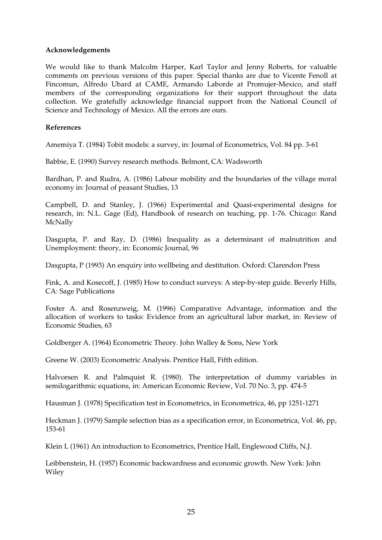# **Acknowledgements**

We would like to thank Malcolm Harper, Karl Taylor and Jenny Roberts, for valuable comments on previous versions of this paper. Special thanks are due to Vicente Fenoll at Fincomun, Alfredo Ubard at CAME, Armando Laborde at Promujer-Mexico, and staff members of the corresponding organizations for their support throughout the data collection. We gratefully acknowledge financial support from the National Council of Science and Technology of Mexico. All the errors are ours.

# **References**

Amemiya T. (1984) Tobit models: a survey, in: Journal of Econometrics, Vol. 84 pp. 3-61

Babbie, E. (1990) Survey research methods. Belmont, CA: Wadsworth

Bardhan, P. and Rudra, A. (1986) Labour mobility and the boundaries of the village moral economy in: Journal of peasant Studies, 13

Campbell, D. and Stanley, J. (1966) Experimental and Quasi-experimental designs for research, in: N.L. Gage (Ed), Handbook of research on teaching, pp. 1-76. Chicago: Rand McNally

Dasgupta, P. and Ray, D. (1986) Inequality as a determinant of malnutrition and Unemployment: theory, in: Economic Journal, 96

Dasgupta, P (1993) An enquiry into wellbeing and destitution. Oxford: Clarendon Press

Fink, A. and Kosecoff, J. (1985) How to conduct surveys: A step-by-step guide. Beverly Hills, CA: Sage Publications

Foster A. and Rosenzweig, M. (1996) Comparative Advantage, information and the allocation of workers to tasks: Evidence from an agricultural labor market, in: Review of Economic Studies, 63

Goldberger A. (1964) Econometric Theory. John Walley & Sons, New York

Greene W. (2003) Econometric Analysis. Prentice Hall, Fifth edition.

Halvorsen R. and Palmquist R. (1980). The interpretation of dummy variables in semilogarithmic equations, in: American Economic Review, Vol. 70 No. 3, pp. 474-5

Hausman J. (1978) Specification test in Econometrics, in Econometrica, 46, pp 1251-1271

Heckman J. (1979) Sample selection bias as a specification error, in Econometrica, Vol. 46, pp, 153-61

Klein L (1961) An introduction to Econometrics, Prentice Hall, Englewood Cliffs, N.J.

Leibbenstein, H. (1957) Economic backwardness and economic growth. New York: John Wiley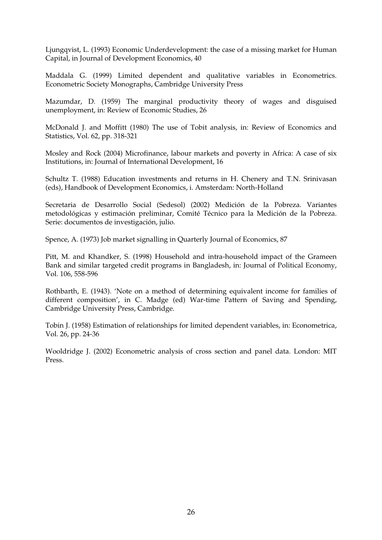Ljungqvist, L. (1993) Economic Underdevelopment: the case of a missing market for Human Capital, in Journal of Development Economics, 40

Maddala G. (1999) Limited dependent and qualitative variables in Econometrics. Econometric Society Monographs, Cambridge University Press

Mazumdar, D. (1959) The marginal productivity theory of wages and disguised unemployment, in: Review of Economic Studies, 26

McDonald J. and Moffitt (1980) The use of Tobit analysis, in: Review of Economics and Statistics, Vol. 62, pp. 318-321

Mosley and Rock (2004) Microfinance, labour markets and poverty in Africa: A case of six Institutions, in: Journal of International Development, 16

Schultz T. (1988) Education investments and returns in H. Chenery and T.N. Srinivasan (eds), Handbook of Development Economics, i. Amsterdam: North-Holland

Secretaria de Desarrollo Social (Sedesol) (2002) Medición de la Pobreza. Variantes metodológicas y estimación preliminar, Comité Técnico para la Medición de la Pobreza. Serie: documentos de investigación, julio.

Spence, A. (1973) Job market signalling in Quarterly Journal of Economics, 87

Pitt, M. and Khandker, S. (1998) Household and intra-household impact of the Grameen Bank and similar targeted credit programs in Bangladesh, in: Journal of Political Economy, Vol. 106, 558-596

Rothbarth, E. (1943). 'Note on a method of determining equivalent income for families of different composition', in C. Madge (ed) War-time Pattern of Saving and Spending, Cambridge University Press, Cambridge.

Tobin J. (1958) Estimation of relationships for limited dependent variables, in: Econometrica, Vol. 26, pp. 24-36

Wooldridge J. (2002) Econometric analysis of cross section and panel data. London: MIT Press.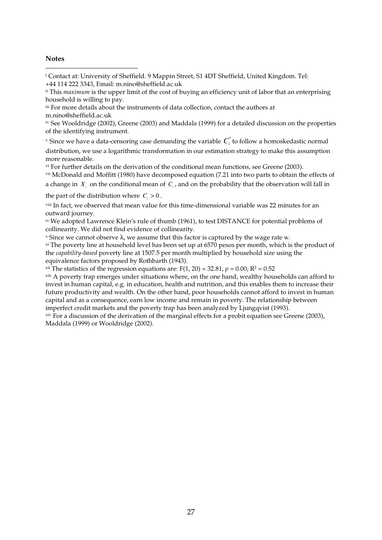## **Notes**

 $\overline{a}$ 

i Contact at: University of Sheffield. 9 Mappin Street, S1 4DT Sheffield, United Kingdom. Tel: +44 114 222 3343, Email: m.nino@sheffield.ac.uk

iii For more details about the instruments of data collection, contact the authors at m.nino@sheffield.ac.uk

iv See Wooldridge (2002), Greene (2003) and Maddala (1999) for a detailed discussion on the properties of the identifying instrument.

 $\bm{v}$  Since we have a data-censoring case demanding the variable  $\bm{C}_i^*$  to follow a homoskedastic normal

distribution, we use a logarithmic transformation in our estimation strategy to make this assumption more reasonable.

vi For further details on the derivation of the conditional mean functions, see Greene (2003).

vii McDonald and Moffitt (1980) have decomposed equation (7.21 into two parts to obtain the effects of

```
a change in X_i on the conditional mean of C_i, and on the probability that the observation will fall in
```
the part of the distribution where  $C_i > 0$ .

viii In fact, we observed that mean value for this time-dimensional variable was 22 minutes for an outward journey.

ix We adopted Lawrence Klein's rule of thumb (1961), to test DISTANCE for potential problems of collinearity. We did not find evidence of collinearity.

 $\alpha$  Since we cannot observe  $\lambda$ , we assume that this factor is captured by the wage rate w.

xi The poverty line at household level has been set up at 6570 pesos per month, which is the product of the *capability-based* poverty line at 1507.5 per month multiplied by household size using the equivalence factors proposed by Rothbarth (1943).

 $x^{\text{ini}}$  The statistics of the regression equations are: F(1, 20) = 32.81,  $p = 0.00$ ; R<sup>2</sup> = 0.52

xiii A poverty trap emerges under situations where, on the one hand, wealthy households can afford to invest in human capital, e.g. in education, health and nutrition, and this enables them to increase their future productivity and wealth. On the other hand, poor households cannot afford to invest in human capital and as a consequence, earn low income and remain in poverty. The relationship between imperfect credit markets and the poverty trap has been analyzed by Ljungqvist (1993).

xiv For a discussion of the derivation of the marginal effects for a probit equation see Greene (2003), Maddala (1999) or Wooldridge (2002).

ii This *maximum* is the upper limit of the cost of buying an efficiency unit of labor that an enterprising household is willing to pay.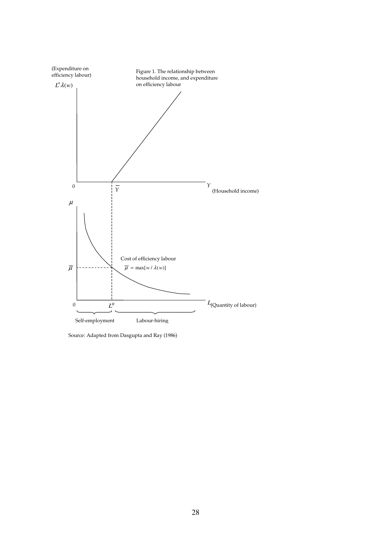

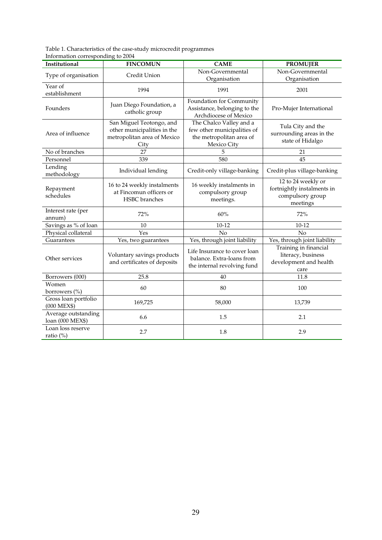Table 1. Characteristics of the case-study microcredit programmes Information corresponding to 2004

| Institutional                           | <b>FINCOMUN</b>                                                                                | <b>CAME</b>                                                                                       | <b>PROMUJER</b>                                                                  |
|-----------------------------------------|------------------------------------------------------------------------------------------------|---------------------------------------------------------------------------------------------------|----------------------------------------------------------------------------------|
| Type of organisation                    | Credit Union                                                                                   | Non-Governmental<br>Organisation                                                                  | Non-Governmental<br>Organisation                                                 |
| Year of<br>establishment                | 1994                                                                                           | 1991                                                                                              | 2001                                                                             |
| Founders                                | Juan Diego Foundation, a<br>catholic group                                                     | Foundation for Community<br>Assistance, belonging to the<br>Archdiocese of Mexico                 | Pro-Mujer International                                                          |
| Area of influence                       | San Miguel Teotongo, and<br>other municipalities in the<br>metropolitan area of Mexico<br>City | The Chalco Valley and a<br>few other municipalities of<br>the metropolitan area of<br>Mexico City | Tula City and the<br>surrounding areas in the<br>state of Hidalgo                |
| No of branches                          | 27                                                                                             | 5                                                                                                 | 21                                                                               |
| Personnel                               | 339                                                                                            | 580                                                                                               | 45                                                                               |
| Lending<br>methodology                  | Individual lending                                                                             | Credit-only village-banking                                                                       | Credit-plus village-banking                                                      |
| Repayment<br>schedules                  | 16 to 24 weekly instalments<br>at Fincomun officers or<br><b>HSBC</b> branches                 | 16 weekly instalments in<br>compulsory group<br>meetings.                                         | 12 to 24 weekly or<br>fortnightly instalments in<br>compulsory group<br>meetings |
| Interest rate (per<br>annum)            | 72%                                                                                            | 60%                                                                                               | 72%                                                                              |
| Savings as % of loan                    | 10                                                                                             | $10 - 12$                                                                                         | $10 - 12$                                                                        |
| Physical collateral                     | Yes                                                                                            | No                                                                                                | N <sub>o</sub>                                                                   |
| Guarantees                              | Yes, two guarantees                                                                            | Yes, through joint liability                                                                      | Yes, through joint liability                                                     |
| Other services                          | Voluntary savings products<br>and certificates of deposits                                     | Life Insurance to cover loan<br>balance. Extra-loans from<br>the internal revolving fund          | Training in financial<br>literacy, business<br>development and health<br>care    |
| Borrowers (000)                         | 25.8                                                                                           | 40                                                                                                | 11.8                                                                             |
| Women<br>borrowers (%)                  | 60                                                                                             | 80                                                                                                | 100                                                                              |
| Gross loan portfolio<br>(000 MEX\$)     | 169,725                                                                                        | 58,000                                                                                            | 13,739                                                                           |
| Average outstanding<br>loan (000 MEX\$) | 6.6                                                                                            | 1.5                                                                                               | 2.1                                                                              |
| Loan loss reserve<br>ratio (%)          | 2.7                                                                                            | 1.8                                                                                               | 2.9                                                                              |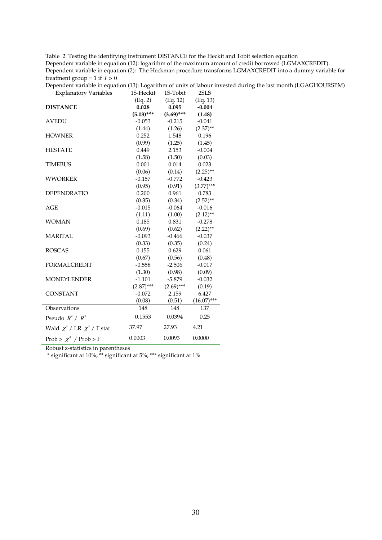| Table 2. Testing the identifying instrument DISTANCE for the Heckit and Tobit selection equation           |
|------------------------------------------------------------------------------------------------------------|
| Dependent variable in equation (12): logarithm of the maximum amount of credit borrowed (LGMAXCREDIT)      |
| Dependent variable in equation (2): The Heckman procedure transforms LGMAXCREDIT into a dummy variable for |
| treatment group = 1 if $I > 0$                                                                             |

|                                      | (Eq. 2)      | (Eq. 12)     | (Eq. 13)          |
|--------------------------------------|--------------|--------------|-------------------|
| <b>DISTANCE</b>                      | 0.028        | 0.095        | $-0.004$          |
|                                      | $(5.08)$ *** | $(3.69)$ *** | (1.48)            |
| <b>AVEDU</b>                         | $-0.053$     | $-0.215$     | $-0.041$          |
|                                      | (1.44)       | (1.26)       | $(2.37)$ **       |
| <b>HOWNER</b>                        | 0.252        | 1.548        | 0.196             |
|                                      | (0.99)       | (1.25)       | (1.45)            |
| <b>HESTATE</b>                       | 0.449        | 2.153        | $-0.004$          |
|                                      | (1.58)       | (1.50)       | (0.03)            |
| <b>TIMEBUS</b>                       | 0.001        | 0.014        | 0.023             |
|                                      | (0.06)       | (0.14)       | $(2.25)$ **       |
| <b>WWORKER</b>                       | $-0.157$     | $-0.772$     | $-0.423$          |
|                                      | (0.95)       | (0.91)       | $(3.77)$ ***      |
| <b>DEPENDRATIO</b>                   | 0.200        | 0.961        | 0.783             |
|                                      | (0.35)       | (0.34)       | $(2.52)$ **       |
| AGE                                  | $-0.015$     | $-0.064$     | $-0.016$          |
|                                      | (1.11)       | (1.00)       | $(2.12)$ **       |
| <b>WOMAN</b>                         | 0.185        | 0.831        | $-0.278$          |
|                                      | (0.69)       | (0.62)       | $(2.22)$ **       |
| <b>MARITAL</b>                       | $-0.093$     | $-0.466$     | $-0.037$          |
|                                      | (0.33)       | (0.35)       | (0.24)            |
| <b>ROSCAS</b>                        | 0.155        | 0.629        | 0.061             |
|                                      | (0.67)       | (0.56)       | (0.48)            |
| <b>FORMALCREDIT</b>                  | $-0.558$     | $-2.506$     | $-0.017$          |
|                                      | (1.30)       |              | $(0.98)$ $(0.09)$ |
| <b>MONEYLENDER</b>                   | $-1.101$     | $-5.879$     | $-0.032$          |
|                                      | $(2.87)$ *** | $(2.69)$ *** | (0.19)            |
| <b>CONSTANT</b>                      | $-0.072$     | 2.159        | 6.427             |
|                                      | (0.08)       | (0.51)       | $(16.07)$ ***     |
| Observations                         | 148          | 148          | 137               |
| Pseudo $R^2 / R^2$                   | 0.1553       | 0.0394       | 0.25              |
| Wald $\chi^2$ / LR $\chi^2$ / F stat | 37.97        | 27.93        | 4.21              |
| Prob > $\chi^2$ / Prob > F           | 0.0003       | 0.0093       | 0.0000            |

Dependent variable in equation (13): Logarithm of units of labour invested during the last month (LGAGHOURSPM) Explanatory Variables (15-Heckit 1S-Tobit 2SLS

Robust z-statistics in parentheses

\* significant at 10%; \*\* significant at 5%; \*\*\* significant at 1%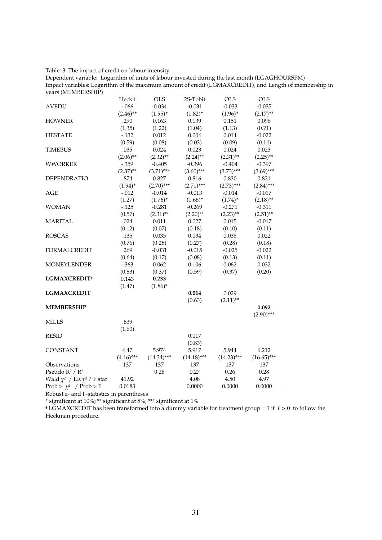## Table 3. The impact of credit on labour intensity

 $\overline{a}$ 

Dependent variable: Logarithm of units of labour invested during the last month (LGAGHOURSPM) Impact variables: Logarithm of the maximum amount of credit (LGMAXCREDIT), and Length of membership in years (MEMBERSHIP)

|                                      | Heckit       | OLS           | 2S-Tobit      | <b>OLS</b>    | OLS           |
|--------------------------------------|--------------|---------------|---------------|---------------|---------------|
| <b>AVEDU</b>                         | $-.066$      | $-0.034$      | $-0.031$      | $-0.033$      | $-0.035$      |
|                                      | $(2.46)$ **  | $(1.95)^*$    | $(1.82)^{*}$  | $(1.96)^*$    | $(2.17)$ **   |
| <b>HOWNER</b>                        | .290         | 0.163         | 0.139         | 0.151         | 0.096         |
|                                      | (1.35)       | (1.22)        | (1.04)        | (1.13)        | (0.71)        |
| <b>HESTATE</b>                       | $-.132$      | 0.012         | 0.004         | 0.014         | $-0.022$      |
|                                      | (0.59)       | (0.08)        | (0.03)        | (0.09)        | (0.14)        |
| <b>TIMEBUS</b>                       | .035         | 0.024         | 0.023         | 0.024         | 0.023         |
|                                      | $(2.06)$ **  | $(2.32)$ **   | $(2.24)$ **   | $(2.31)$ **   | $(2.25)$ **   |
| <b>WWORKER</b>                       | $-.359$      | $-0.405$      | $-0.396$      | $-0.404$      | $-0.397$      |
|                                      | $(2.37)$ **  | $(3.71)$ ***  | $(3.60)$ ***  | $(3.73)$ ***  | $(3.69)$ ***  |
| <b>DEPENDRATIO</b>                   | .874         | 0.827         | 0.816         | 0.830         | 0.821         |
|                                      | $(1.94)^{*}$ | $(2.70)$ ***  | $(2.71)$ ***  | $(2.73)$ ***  | $(2.84)$ ***  |
| AGE                                  | $-.012$      | $-0.014$      | $-0.013$      | $-0.014$      | $-0.017$      |
|                                      | (1.27)       | $(1.76)^*$    | $(1.66)^*$    | $(1.74)^*$    | $(2.18)$ **   |
| <b>WOMAN</b>                         | $-.125$      | $-0.281$      | $-0.269$      | $-0.271$      | $-0.311$      |
|                                      | (0.57)       | $(2.31)$ **   | $(2.20)$ **   | $(2.23)$ **   | $(2.51)$ **   |
| <b>MARITAL</b>                       | .024         | 0.011         | 0.027         | 0.015         | $-0.017$      |
|                                      | (0.12)       | (0.07)        | (0.18)        | (0.10)        | (0.11)        |
| <b>ROSCAS</b>                        | .135         | 0.035         | 0.034         | 0.035         | 0.022         |
|                                      | (0.76)       | (0.28)        | (0.27)        | (0.28)        | (0.18)        |
| <b>FORMALCREDIT</b>                  | .269         | $-0.031$      | $-0.015$      | $-0.025$      | $-0.022$      |
|                                      | (0.64)       | (0.17)        | (0.08)        | (0.13)        | (0.11)        |
| <b>MONEYLENDER</b>                   | $-0.363$     | 0.062         | 0.106         | 0.062         | 0.032         |
|                                      | (0.83)       | (0.37)        | (0.59)        | (0.37)        | (0.20)        |
| LGMAXCREDIT <sup>+</sup>             | 0.143        | 0.233         |               |               |               |
|                                      | (1.47)       | $(1.86)^*$    |               |               |               |
| <b>LGMAXCREDIT</b>                   |              |               | 0.014         | 0.029         |               |
|                                      |              |               | (0.63)        | $(2.11)$ **   |               |
| <b>MEMBERSHIP</b>                    |              |               |               |               | 0.092         |
|                                      |              |               |               |               | $(2.90)$ ***  |
| <b>MILLS</b>                         | .639         |               |               |               |               |
|                                      | (1.60)       |               |               |               |               |
| <b>RESID</b>                         |              |               | 0.017         |               |               |
|                                      |              |               | (0.83)        |               |               |
| <b>CONSTANT</b>                      | 4.47         | 5.974         | 5.917         | 5.944         | 6.212         |
|                                      | $(4.16)$ *** | $(14.34)$ *** | $(14.18)$ *** | $(14.23)$ *** | $(16.65)$ *** |
| Observations                         | 137          | 137           | 137           | 137           | 137           |
| Pseudo $R^2 / R^2$                   |              | 0.26          | 0.27          | 0.26          | 0.28          |
| Wald $\chi^2$ / LR $\chi^2$ / F stat | 41.92        |               | 4.08          | 4.50          | 4.97          |
| Prob > $\chi^2$ / Prob > F           | 0.0183       |               | 0.0000        | 0.0000        | 0.0000        |

Robust z- and t -statistics in parentheses

\* significant at 10%; \*\* significant at 5%; \*\*\* significant at 1%

**†** LGMAXCREDIT has been transformed into a dummy variable for treatment group = 1 if *I* > 0 to follow the Heckman procedure.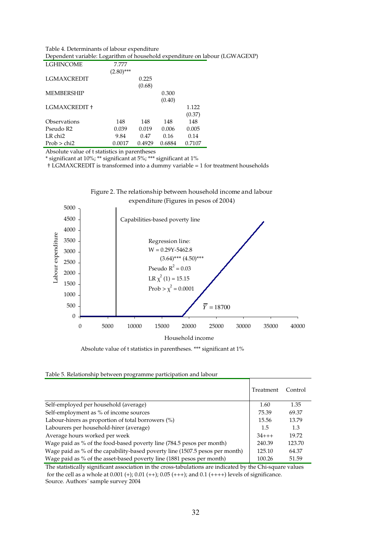#### Table 4. Determinants of labour expenditure Dependent variable: Logarithm of household expenditure on labour (LGWAGEXP)

| LGHINCOME           | 7.777        |        |        |        |
|---------------------|--------------|--------|--------|--------|
|                     | $(2.80)$ *** |        |        |        |
| <b>LGMAXCREDIT</b>  |              | 0.225  |        |        |
|                     |              | (0.68) |        |        |
| <b>MEMBERSHIP</b>   |              |        | 0.300  |        |
|                     |              |        | (0.40) |        |
| LGMAXCREDIT +       |              |        |        | 1.122  |
|                     |              |        |        | (0.37) |
| Observations        | 148          | 148    | 148    | 148    |
| Pseudo R2           | 0.039        | 0.019  | 0.006  | 0.005  |
| LR chi <sub>2</sub> | 9.84         | 0.47   | 0.16   | 0.14   |
| Prob > chi2         | 0.0017       | 0.4929 | 0.6884 | 0.7107 |

Absolute value of t statistics in parentheses

\* significant at 10%; \*\* significant at 5%; \*\*\* significant at 1%

† LGMAXCREDIT is transformed into a dummy variable = 1 for treatment households



# Figure 2. The relationship between household income and labour expenditure (Figures in pesos of 2004)

Absolute value of t statistics in parentheses. \*\*\* significant at 1%

#### Table 5. Relationship between programme participation and labour

|                                                                              | Treatment  | Control |
|------------------------------------------------------------------------------|------------|---------|
| Self-employed per household (average)                                        | 1.60       | 1.35    |
| Self-employment as % of income sources                                       | 75.39      | 69.37   |
| Labour-hirers as proportion of total borrowers (%)                           | 15.56      | 13.79   |
| Labourers per household-hirer (average)                                      | 1.5        | 1.3     |
| Average hours worked per week                                                | $34 + + +$ | 19.72   |
| Wage paid as % of the food-based poverty line (784.5 pesos per month)        | 240.39     | 123.70  |
| Wage paid as % of the capability-based poverty line (1507.5 pesos per month) | 125.10     | 64.37   |
| Wage paid as % of the asset-based poverty line (1881 pesos per month)        | 100.26     | 51.59   |

The statistically significant association in the cross-tabulations are indicated by the Chi-square values for the cell as a whole at  $0.001 (+)$ ;  $0.01 (+)$ ;  $0.05 (+++)$ ; and  $0.1 (+++)$  levels of significance. Source. Authors´ sample survey 2004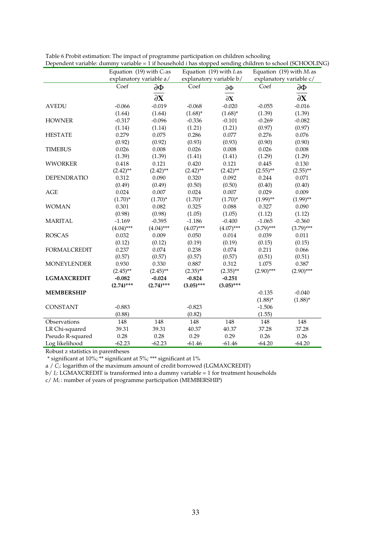|                     | Equation (19) with $C_i$ as |                 | Equation (19) with $I_i$ as |                             | Equation (19) with $M_i$ as |                         |  |
|---------------------|-----------------------------|-----------------|-----------------------------|-----------------------------|-----------------------------|-------------------------|--|
|                     | explanatory variable a/     |                 |                             | explanatory variable b/     |                             | explanatory variable c/ |  |
|                     | Coef                        | $\partial \Phi$ | Coef                        | $\partial \Phi$             | Coef                        | $\partial \Phi$         |  |
|                     |                             | $\partial X$    |                             | $\partial X$                |                             | $\partial X$            |  |
| <b>AVEDU</b>        | $-0.066$                    | $-0.019$        | $-0.068$                    | $-0.020$                    | $-0.055$                    | $-0.016$                |  |
|                     | (1.64)                      | (1.64)          | $(1.68)^*$                  | $(1.68)^*$                  | (1.39)                      | (1.39)                  |  |
| <b>HOWNER</b>       | $-0.317$                    | $-0.096$        | $-0.336$                    | $-0.101$                    | $-0.269$                    | $-0.082$                |  |
|                     | (1.14)                      | (1.14)          | (1.21)                      | (1.21)                      | (0.97)                      | (0.97)                  |  |
| <b>HESTATE</b>      | 0.279                       | 0.075           | 0.286                       | 0.077                       | 0.276                       | 0.076                   |  |
|                     | (0.92)                      | (0.92)          | (0.93)                      | (0.93)                      | (0.90)                      | (0.90)                  |  |
| <b>TIMEBUS</b>      | 0.026                       | 0.008           | 0.026                       | 0.008                       | 0.026                       | 0.008                   |  |
|                     | (1.39)                      | (1.39)          | (1.41)                      | (1.41)                      | (1.29)                      | (1.29)                  |  |
| <b>WWORKER</b>      | 0.418                       | 0.121           | 0.420                       | 0.121                       | 0.445                       | 0.130                   |  |
|                     | $(2.42)$ **                 | $(2.42)$ **     | $(2.42)$ **                 | $(2.42)$ **                 | $(2.55)$ **                 | $(2.55)$ **             |  |
| <b>DEPENDRATIO</b>  | 0.312                       | 0.090           | 0.320                       | 0.092                       | 0.244                       | 0.071                   |  |
|                     | (0.49)                      | (0.49)          | (0.50)                      | (0.50)                      | (0.40)                      | (0.40)                  |  |
| <b>AGE</b>          | 0.024                       | 0.007           | 0.024                       | 0.007                       | 0.029                       | 0.009                   |  |
|                     | $(1.70)^*$                  | $(1.70)^*$      | $(1.70)^*$                  | $(1.70)^*$                  | $(1.99)$ **                 | $(1.99)$ **             |  |
| <b>WOMAN</b>        | 0.301                       | 0.082           | 0.325                       | 0.088                       | 0.327                       | 0.090                   |  |
|                     | (0.98)                      | (0.98)          | (1.05)                      | (1.05)                      | (1.12)                      | (1.12)                  |  |
| <b>MARITAL</b>      | $-1.169$                    | $-0.395$        | $-1.186$                    | $-0.400$                    | $-1.065$                    | $-0.360$                |  |
|                     | $(4.04)$ ***                | $(4.04)$ ***    | $(4.07)$ ***                | $(4.07)$ ***                | $(3.79)$ ***                | $(3.79)$ ***            |  |
| <b>ROSCAS</b>       | 0.032                       | 0.009           | 0.050                       | 0.014                       | 0.039                       | 0.011                   |  |
|                     | (0.12)                      | (0.12)          | (0.19)                      | (0.19)                      | (0.15)                      | (0.15)                  |  |
| <b>FORMALCREDIT</b> | 0.237                       | 0.074           | 0.238                       | 0.074                       | 0.211                       | 0.066                   |  |
|                     | (0.57)                      | (0.57)          | (0.57)                      | (0.57)                      | (0.51)                      | (0.51)                  |  |
| <b>MONEYLENDER</b>  | 0.930                       | 0.330           | 0.887                       | 0.312                       | 1.075                       | 0.387                   |  |
|                     | $(2.45)$ **                 | $(2.45)$ **     | $(2.35)$ **                 | $(2.90)$ ***<br>$(2.35)$ ** |                             | $(2.90)$ ***            |  |
| <b>LGMAXCREDIT</b>  | $-0.082$                    | $-0.024$        | $-0.824$                    | $-0.251$                    |                             |                         |  |
|                     | $(2.74)$ ***                | $(2.74)$ ***    | $(3.05)$ ***                | $(3.05)$ ***                |                             |                         |  |
| <b>MEMBERSHIP</b>   |                             |                 |                             |                             | $-0.135$                    | $-0.040$                |  |
|                     |                             |                 |                             |                             | $(1.88)^*$                  | $(1.88)^*$              |  |
| <b>CONSTANT</b>     | $-0.883$                    |                 | $-0.823$                    |                             | $-1.506$                    |                         |  |
|                     | (0.88)                      |                 | (0.82)                      |                             | (1.55)                      |                         |  |
| Observations        | 148                         | 148             | 148                         | 148                         | 148                         | 148                     |  |
| LR Chi-squared      | 39.31                       | 39.31           | 40.37                       | 40.37                       | 37.28                       | 37.28                   |  |
| Pseudo R-squared    | 0.28                        | 0.28            | 0.29                        | 0.29                        | 0.26                        | 0.26                    |  |
| Log likelihood      | $-62.23$                    | $-62.23$        | $-61.46$                    | $-61.46$                    | $-64.20$                    | $-64.20$                |  |
|                     |                             |                 |                             |                             |                             |                         |  |

Table 6 Probit estimation: The impact of programme participation on children schooling Dependent variable: dummy variable = 1 if household *i* has stopped sending children to school (SCHOOLING)

Robust z statistics in parentheses

\* significant at 10%; \*\* significant at 5%; \*\*\* significant at 1%

a / *Ci*: logarithm of the maximum amount of credit borrowed (LGMAXCREDIT)

b/ *Ii*: LGMAXCREDIT is transformed into a dummy variable = 1 for treatment households

c/ *Mi* : number of years of programme participation (MEMBERSHIP)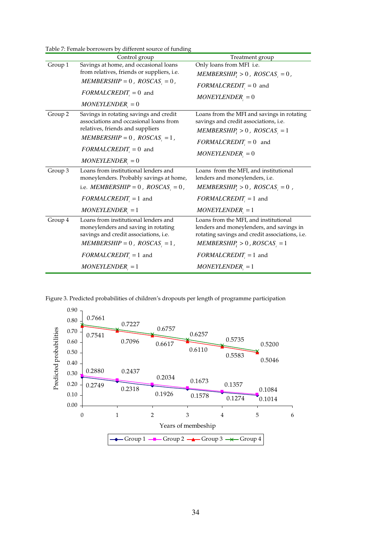Table 7: Female borrowers by different source of funding

|         | Control group                                                                                                                                                          | Treatment group                                                                                                                                                           |  |  |
|---------|------------------------------------------------------------------------------------------------------------------------------------------------------------------------|---------------------------------------------------------------------------------------------------------------------------------------------------------------------------|--|--|
| Group 1 | Savings at home, and occasional loans                                                                                                                                  | Only loans from MFI i.e.                                                                                                                                                  |  |  |
|         | from relatives, friends or suppliers, <i>i.e.</i>                                                                                                                      | $MEMBERSHIP_i > 0$ , $ROSCAS_i = 0$ ,                                                                                                                                     |  |  |
|         | $MEMBERSHIP = 0$ , $ROSCSi = 0$ ,                                                                                                                                      | $FORMALCREDIT_i = 0$ and                                                                                                                                                  |  |  |
|         | $FORMALCREDIT_i = 0$ and                                                                                                                                               | $MONEYLENDER_i = 0$                                                                                                                                                       |  |  |
|         | $MONEYLENDER_i = 0$                                                                                                                                                    |                                                                                                                                                                           |  |  |
| Group 2 | Savings in rotating savings and credit                                                                                                                                 | Loans from the MFI and savings in rotating                                                                                                                                |  |  |
|         | associations and occasional loans from                                                                                                                                 | savings and credit associations, <i>i.e.</i>                                                                                                                              |  |  |
|         | relatives, friends and suppliers                                                                                                                                       | $MEMBERSHIP_i > 0$ , $ROSCAS_i = 1$                                                                                                                                       |  |  |
|         | $MEMBERSHIP = 0$ , $ROSCAS$ <sub>,</sub> = 1,                                                                                                                          | $FORMALCREDIT_i = 0$ and                                                                                                                                                  |  |  |
|         | $FORMALCREDIT_i = 0$ and                                                                                                                                               | $MONEYLENDER_i = 0$                                                                                                                                                       |  |  |
|         | $MONEYLENDER_{i} = 0$                                                                                                                                                  |                                                                                                                                                                           |  |  |
| Group 3 | Loans from institutional lenders and<br>moneylenders. Probably savings at home,                                                                                        | Loans from the MFI, and institutional<br>lenders and moneylenders, <i>i.e.</i>                                                                                            |  |  |
|         | i.e. <i>MEMBERSHIP</i> = 0, $ROSCSi = 0$ ,                                                                                                                             | $MEMBERSHIPi > 0$ , $ROSCASi = 0$ ,                                                                                                                                       |  |  |
|         | $FORMALCREDIT_i = 1$ and                                                                                                                                               | $FORMALCREDIT_i = 1$ and                                                                                                                                                  |  |  |
|         | $MONEYLENDER_{i} = 1$                                                                                                                                                  | $MONEYLENDER_{i} = 1$                                                                                                                                                     |  |  |
| Group 4 | Loans from institutional lenders and<br>moneylenders and saving in rotating<br>savings and credit associations, i.e.<br>$MEMBERSHIP = 0$ , $ROSCAS$ <sub>, = 1</sub> , | Loans from the MFI, and institutional<br>lenders and moneylenders, and savings in<br>rotating savings and credit associations, i.e.<br>$MEMBERSHIP_i > 0$ , $ROSCS_i = 1$ |  |  |
|         | $FORMALCREDIT_i = 1$ and                                                                                                                                               | $FORMALCREDIT_i = 1$ and                                                                                                                                                  |  |  |
|         | $MONEYLENDER_{i} = 1$                                                                                                                                                  | $MONEYLENDER_{i} = 1$                                                                                                                                                     |  |  |

Figure 3. Predicted probabilities of children's dropouts per length of programme participation

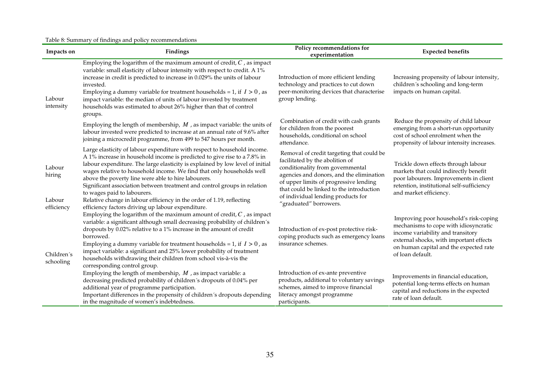| Table 8: Summary of findings and policy recommendations |  |  |
|---------------------------------------------------------|--|--|
|                                                         |  |  |

| Impacts on                            | Findings                                                                                                                                                                                                                                                                                                                                                                                                                                                                                                                                                  | Policy recommendations for<br>experimentation                                                                                                                                                                                                                                                                      | <b>Expected benefits</b>                                                                                                                                                                                                      |
|---------------------------------------|-----------------------------------------------------------------------------------------------------------------------------------------------------------------------------------------------------------------------------------------------------------------------------------------------------------------------------------------------------------------------------------------------------------------------------------------------------------------------------------------------------------------------------------------------------------|--------------------------------------------------------------------------------------------------------------------------------------------------------------------------------------------------------------------------------------------------------------------------------------------------------------------|-------------------------------------------------------------------------------------------------------------------------------------------------------------------------------------------------------------------------------|
| Labour<br>intensity                   | Employing the logarithm of the maximum amount of credit, $C$ , as impact<br>variable: small elasticity of labour intensity with respect to credit. A 1%<br>increase in credit is predicted to increase in 0.029% the units of labour<br>invested.<br>Employing a dummy variable for treatment households = 1, if $I > 0$ , as<br>impact variable: the median of units of labour invested by treatment<br>households was estimated to about 26% higher than that of control<br>groups.                                                                     | Introduction of more efficient lending<br>technology and practices to cut down<br>peer-monitoring devices that characterise<br>group lending.                                                                                                                                                                      | Increasing propensity of labour intensity,<br>children's schooling and long-term<br>impacts on human capital.                                                                                                                 |
|                                       | Employing the length of membership, $M$ , as impact variable: the units of<br>labour invested were predicted to increase at an annual rate of 9.6% after<br>joining a microcredit programme, from 499 to 547 hours per month.                                                                                                                                                                                                                                                                                                                             | Combination of credit with cash grants<br>for children from the poorest<br>households, conditional on school<br>attendance.                                                                                                                                                                                        | Reduce the propensity of child labour<br>emerging from a short-run opportunity<br>cost of school enrolment when the<br>propensity of labour intensity increases.                                                              |
| Labour<br>hiring<br>Labour            | Large elasticity of labour expenditure with respect to household income.<br>A 1% increase in household income is predicted to give rise to a 7.8% in<br>labour expenditure. The large elasticity is explained by low level of initial<br>wages relative to household income. We find that only households well<br>above the poverty line were able to hire labourers.<br>Significant association between treatment and control groups in relation<br>to wages paid to labourers.<br>Relative change in labour efficiency in the order of 1.19, reflecting | Removal of credit targeting that could be<br>facilitated by the abolition of<br>conditionality from governmental<br>agencies and donors, and the elimination<br>of upper limits of progressive lending<br>that could be linked to the introduction<br>of individual lending products for<br>"graduated" borrowers. | Trickle down effects through labour<br>markets that could indirectly benefit<br>poor labourers. Improvements in client<br>retention, institutional self-sufficiency<br>and market efficiency.                                 |
| efficiency<br>Children's<br>schooling | efficiency factors driving up labour expenditure.<br>Employing the logarithm of the maximum amount of credit, $C$ , as impact<br>variable: a significant although small decreasing probability of children's<br>dropouts by 0.02% relative to a 1% increase in the amount of credit<br>borrowed.<br>Employing a dummy variable for treatment households = 1, if $I > 0$ , as<br>impact variable: a significant and 25% lower probability of treatment<br>households withdrawing their children from school vis-à-vis the<br>corresponding control group.  | Introduction of ex-post protective risk-<br>coping products such as emergency loans<br>insurance schemes.                                                                                                                                                                                                          | Improving poor household's risk-coping<br>mechanisms to cope with idiosyncratic<br>income variability and transitory<br>external shocks, with important effects<br>on human capital and the expected rate<br>of loan default. |
|                                       | Employing the length of membership, $M$ , as impact variable: a<br>decreasing predicted probability of children's dropouts of 0.04% per<br>additional year of programme participation.<br>Important differences in the propensity of children's dropouts depending<br>in the magnitude of women's indebtedness.                                                                                                                                                                                                                                           | Introduction of ex-ante preventive<br>products, additional to voluntary savings<br>schemes, aimed to improve financial<br>literacy amongst programme<br>participants.                                                                                                                                              | Improvements in financial education,<br>potential long-terms effects on human<br>capital and reductions in the expected<br>rate of loan default.                                                                              |